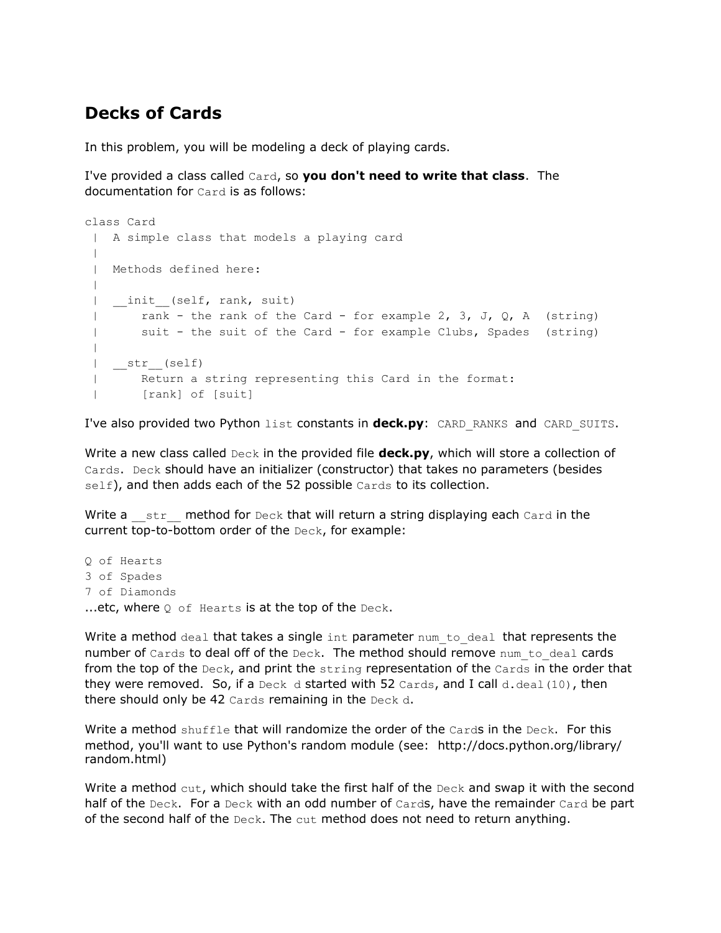## **Decks of Cards**

In this problem, you will be modeling a deck of playing cards.

I've provided a class called Card, so **you don't need to write that class**. The documentation for Card is as follows:

```
class Card
| A simple class that models a playing card
 |
 | Methods defined here:
 \blacksquare| _init_(self, rank, suit)
 | rank - the rank of the Card - for example 2, 3, J, Q, A (string)
 | suit - the suit of the Card - for example Clubs, Spades (string)
 |
 | __str__(self)
 | Return a string representing this Card in the format:
 | [rank] of [suit]
```
I've also provided two Python list constants in **deck.py**: CARD\_RANKS and CARD\_SUITS.

Write a new class called Deck in the provided file **deck.py**, which will store a collection of Cards. Deck should have an initializer (constructor) that takes no parameters (besides self), and then adds each of the 52 possible Cards to its collection.

Write a  $\quad$  str  $\quad$  method for Deck that will return a string displaying each Card in the current top-to-bottom order of the Deck, for example:

Q of Hearts 3 of Spades 7 of Diamonds ...etc, where  $Q$  of Hearts is at the top of the Deck.

Write a method deal that takes a single  $int$  parameter  $num$  to deal that represents the number of Cards to deal off of the Deck. The method should remove num to deal cards from the top of the  $Deck$ , and print the  $string$  representation of the  $Cards$  in the order that they were removed. So, if a Deck d started with 52 Cards, and I call d.deal(10), then there should only be 42 Cards remaining in the Deck d.

Write a method shuffle that will randomize the order of the Cards in the Deck. For this method, you'll want to use Python's random module (see: http://docs.python.org/library/ random.html)

Write a method  $cut$ , which should take the first half of the  $Deck$  and swap it with the second half of the Deck. For a Deck with an odd number of Cards, have the remainder Card be part of the second half of the Deck. The cut method does not need to return anything.